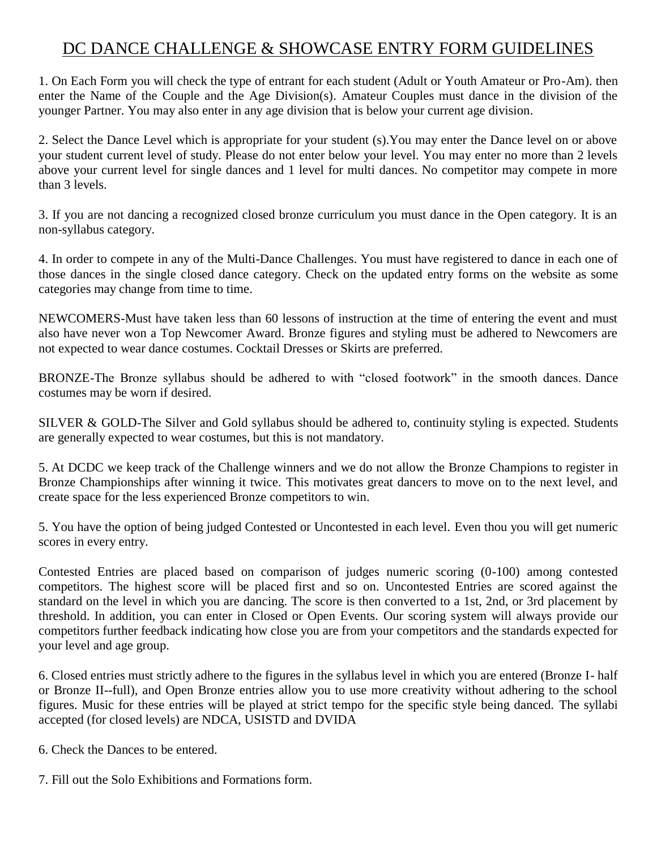# DC DANCE CHALLENGE & SHOWCASE ENTRY FORM GUIDELINES

1. On Each Form you will check the type of entrant for each student (Adult or Youth Amateur or Pro-Am). then enter the Name of the Couple and the Age Division(s). Amateur Couples must dance in the division of the younger Partner. You may also enter in any age division that is below your current age division.

2. Select the Dance Level which is appropriate for your student (s).You may enter the Dance level on or above your student current level of study. Please do not enter below your level. You may enter no more than 2 levels above your current level for single dances and 1 level for multi dances. No competitor may compete in more than 3 levels.

3. If you are not dancing a recognized closed bronze curriculum you must dance in the Open category. It is an non-syllabus category.

4. In order to compete in any of the Multi-Dance Challenges. You must have registered to dance in each one of those dances in the single closed dance category. Check on the updated entry forms on the website as some categories may change from time to time.

NEWCOMERS-Must have taken less than 60 lessons of instruction at the time of entering the event and must also have never won a Top Newcomer Award. Bronze figures and styling must be adhered to Newcomers are not expected to wear dance costumes. Cocktail Dresses or Skirts are preferred.

BRONZE-The Bronze syllabus should be adhered to with "closed footwork" in the smooth dances. Dance costumes may be worn if desired.

SILVER & GOLD-The Silver and Gold syllabus should be adhered to, continuity styling is expected. Students are generally expected to wear costumes, but this is not mandatory.

5. At DCDC we keep track of the Challenge winners and we do not allow the Bronze Champions to register in Bronze Championships after winning it twice. This motivates great dancers to move on to the next level, and create space for the less experienced Bronze competitors to win.

5. You have the option of being judged Contested or Uncontested in each level. Even thou you will get numeric scores in every entry.

Contested Entries are placed based on comparison of judges numeric scoring (0-100) among contested competitors. The highest score will be placed first and so on. Uncontested Entries are scored against the standard on the level in which you are dancing. The score is then converted to a 1st, 2nd, or 3rd placement by threshold. In addition, you can enter in Closed or Open Events. Our scoring system will always provide our competitors further feedback indicating how close you are from your competitors and the standards expected for your level and age group.

6. Closed entries must strictly adhere to the figures in the syllabus level in which you are entered (Bronze I- half or Bronze II--full), and Open Bronze entries allow you to use more creativity without adhering to the school figures. Music for these entries will be played at strict tempo for the specific style being danced. The syllabi accepted (for closed levels) are NDCA, USISTD and DVIDA

6. Check the Dances to be entered.

7. Fill out the Solo Exhibitions and Formations form.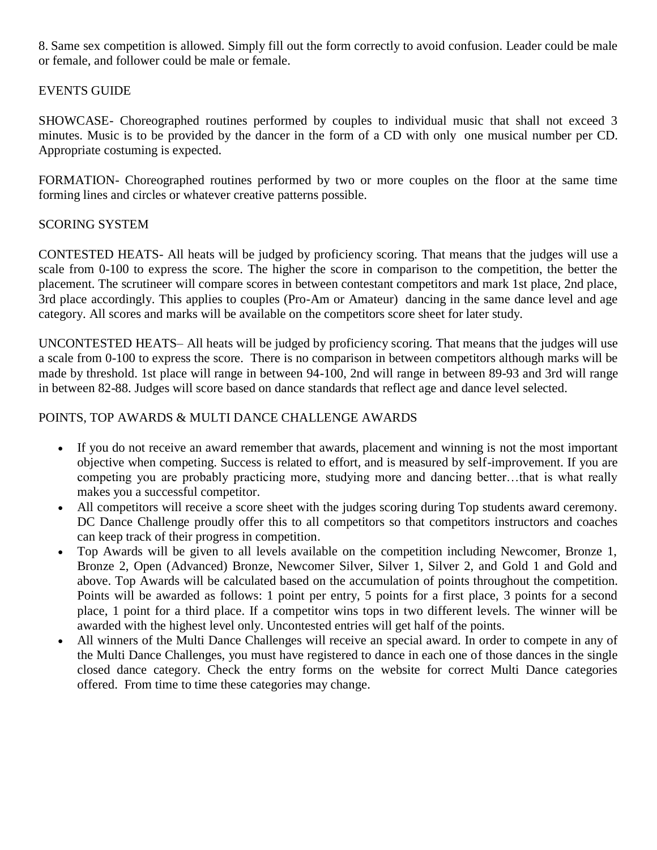8. Same sex competition is allowed. Simply fill out the form correctly to avoid confusion. Leader could be male or female, and follower could be male or female.

# EVENTS GUIDE

SHOWCASE- Choreographed routines performed by couples to individual music that shall not exceed 3 minutes. Music is to be provided by the dancer in the form of a CD with only one musical number per CD. Appropriate costuming is expected.

FORMATION- Choreographed routines performed by two or more couples on the floor at the same time forming lines and circles or whatever creative patterns possible.

## SCORING SYSTEM

CONTESTED HEATS- All heats will be judged by proficiency scoring. That means that the judges will use a scale from 0-100 to express the score. The higher the score in comparison to the competition, the better the placement. The scrutineer will compare scores in between contestant competitors and mark 1st place, 2nd place, 3rd place accordingly. This applies to couples (Pro-Am or Amateur) dancing in the same dance level and age category. All scores and marks will be available on the competitors score sheet for later study.

UNCONTESTED HEATS– All heats will be judged by proficiency scoring. That means that the judges will use a scale from 0-100 to express the score. There is no comparison in between competitors although marks will be made by threshold. 1st place will range in between 94-100, 2nd will range in between 89-93 and 3rd will range in between 82-88. Judges will score based on dance standards that reflect age and dance level selected.

## POINTS, TOP AWARDS & MULTI DANCE CHALLENGE AWARDS

- If you do not receive an award remember that awards, placement and winning is not the most important objective when competing. Success is related to effort, and is measured by self-improvement. If you are competing you are probably practicing more, studying more and dancing better…that is what really makes you a successful competitor.
- All competitors will receive a score sheet with the judges scoring during Top students award ceremony. DC Dance Challenge proudly offer this to all competitors so that competitors instructors and coaches can keep track of their progress in competition.
- Top Awards will be given to all levels available on the competition including Newcomer, Bronze 1, Bronze 2, Open (Advanced) Bronze, Newcomer Silver, Silver 1, Silver 2, and Gold 1 and Gold and above. Top Awards will be calculated based on the accumulation of points throughout the competition. Points will be awarded as follows: 1 point per entry, 5 points for a first place, 3 points for a second place, 1 point for a third place. If a competitor wins tops in two different levels. The winner will be awarded with the highest level only. Uncontested entries will get half of the points.
- All winners of the Multi Dance Challenges will receive an special award. In order to compete in any of the Multi Dance Challenges, you must have registered to dance in each one of those dances in the single closed dance category. Check the entry forms on the website for correct Multi Dance categories offered. From time to time these categories may change.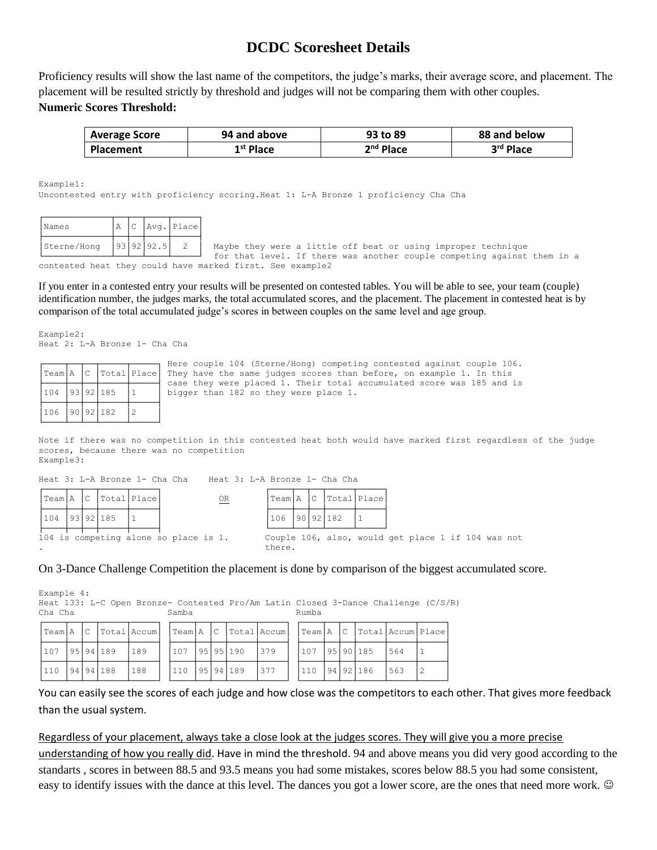# **DCDC Scoresheet Details**

Proficiency results will show the last name of the competitors, the judge's marks, their average score, and placement. The placement will be resulted strictly by threshold and judges will not be comparing them with other couples. **Numeric Scores Threshold:** 

| <b>Average Score</b> | 94 and above | 93 to 89    | 88 and below |
|----------------------|--------------|-------------|--------------|
| <b>Placement</b>     | $1st$ Place  | $2nd$ Place | 3rd Place    |

Example1:

Uncontested entry with proficiency scoring.Heat 1: L-A Bronze 1 proficiency Cha Cha

| Names       |  |       | Avg. Place |
|-------------|--|-------|------------|
| Sterne/Hong |  | 192.5 |            |

Maybe they were a little off beat or using improper technique for that level. If there was another couple competing against them in a contested heat they could have marked first. See example2

If you enter in a contested entry your results will be presented on contested tables. You will be able to see, your team (couple) identification number, the judges marks, the total accumulated scores, and the placement. The placement in contested heat is by comparison of the total accumulated judge's scores in between couples on the same level and age group.

Example2: Heat 2: L-A Bronze 1- Cha Cha

| Team A |  |           | Here couple 104 (Sterne/Hong) competing contested against couple 106.<br> C  Total Place  They have the same judges scores than before, on example 1. In this<br>case they were placed 1. Their total accumulated score was 185 and is |
|--------|--|-----------|----------------------------------------------------------------------------------------------------------------------------------------------------------------------------------------------------------------------------------------|
| 1104   |  | 93 92 185 | bigger than 182 so they were place 1.                                                                                                                                                                                                  |
| 1106   |  | 90 92 182 |                                                                                                                                                                                                                                        |

Note if there was no competition in this contested heat both would have marked first regardless of the judge scores, because there was no competition Example3:

|     | Team A |  |         | $ C $ $Total Place $ | $\underline{\mathsf{OR}}$             |        |  |           | Team A  C  Total Place                             |  |  |  |  |
|-----|--------|--|---------|----------------------|---------------------------------------|--------|--|-----------|----------------------------------------------------|--|--|--|--|
| 104 |        |  | 9392185 |                      |                                       | 106    |  | 90 92 182 |                                                    |  |  |  |  |
|     |        |  |         |                      | 104 is competing alone so place is 1. | there. |  |           | Couple 106, also, would get place 1 if 104 was not |  |  |  |  |

Heat 3: L-A Bronze 1- Cha Cha Heat 3: L-A Bronze 1- Cha Cha

On 3-Dance Challenge Competition the placement is done by comparison of the biggest accumulated score.

Example 4: Heat 133: L-C Open Bronze- Contested Pro/Am Latin Closed 3-Dance Challenge (C/S/R)<br>Cha Cha Samba ┌────┬──┬──┬─────┬─────┐ ┌────┬──┬──┬─────┬─────┐ ┌────┬──┬──┬─────┬─────┬─────┐

|      |  |           | Team A C  Total Accum  Team A C  Total Accum  Team A C  Total Accum Place |                |  |           |        |                     |  |      |  |
|------|--|-----------|---------------------------------------------------------------------------|----------------|--|-----------|--------|---------------------|--|------|--|
| 1107 |  | 95 94 189 | 1189                                                                      | 107 1951951190 |  |           | 1379   | $1107$ $ 95 90 185$ |  | 564  |  |
| 110  |  | 94 94 188 | 188                                                                       | 110            |  | 95 94 189 | $1377$ | 110  94 92 186      |  | 1563 |  |

You can easily see the scores of each judge and how close was the competitors to each other. That gives more feedback than the usual system.

#### Regardless of your placement, always take a close look at the judges scores. They will give you a more precise

understanding of how you really did. Have in mind the threshold. 94 and above means you did very good according to the standarts , scores in between 88.5 and 93.5 means you had some mistakes, scores below 88.5 you had some consistent, easy to identify issues with the dance at this level. The dances you got a lower score, are the ones that need more work.